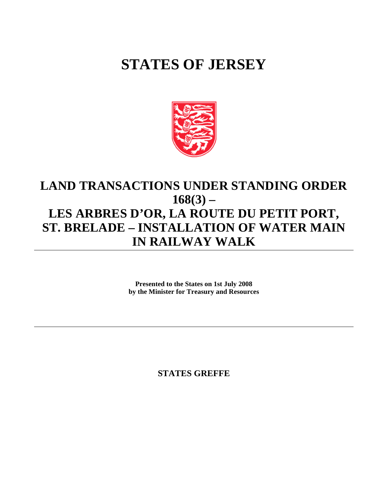## **STATES OF JERSEY**



## **LAND TRANSACTIONS UNDER STANDING ORDER 168(3) – LES ARBRES D'OR, LA ROUTE DU PETIT PORT, ST. BRELADE – INSTALLATION OF WATER MAIN IN RAILWAY WALK**

**Presented to the States on 1st July 2008 by the Minister for Treasury and Resources**

**STATES GREFFE**